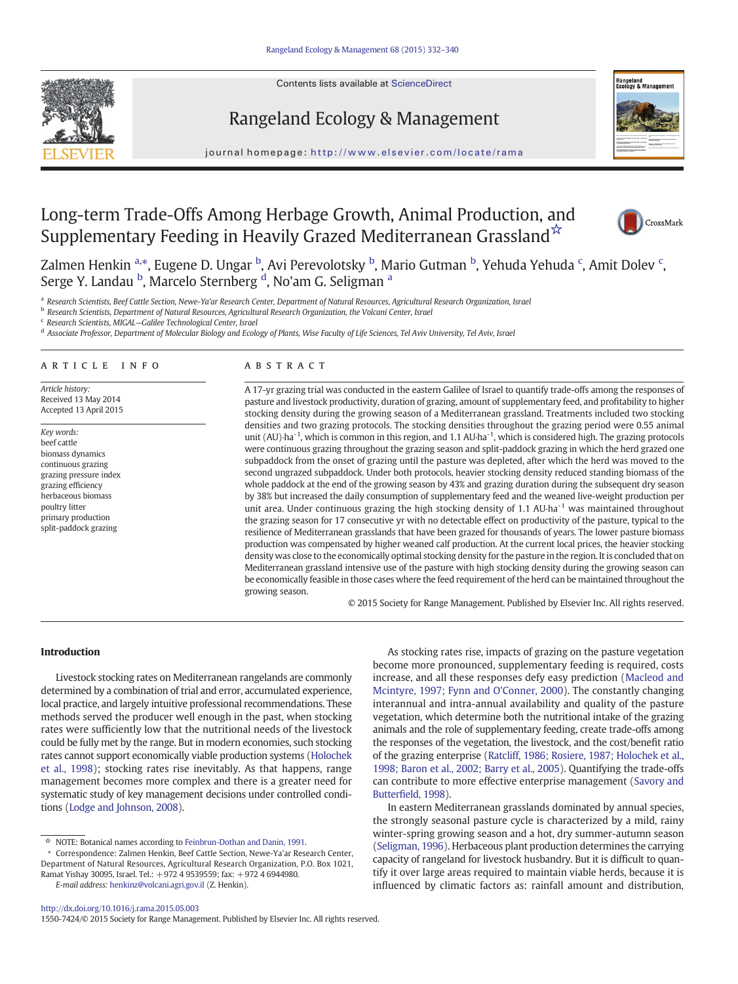Contents lists available at ScienceDirect





# Rangeland Ecology & Management

journal homepage: http://www.elsevier.com/locate/rama

# Long-term Trade-Offs Among Herbage Growth, Animal Production, and Supplementary Feeding in Heavily Grazed Mediterranean Grassland☆



Zalmen Henkin <sup>a,</sup>\*, Eugene D. Ungar <sup>b</sup>, Avi Perevolotsky <sup>b</sup>, Mario Gutman <sup>b</sup>, Yehuda Yehuda <sup>c</sup>, Amit Dolev <sup>c</sup>, Serge Y. Landau <sup>b</sup>, Marcelo Sternberg <sup>d</sup>, No'am G. Seligman <sup>a</sup>

a Research Scientists, Beef Cattle Section, Newe-Ya'ar Research Center, Department of Natural Resources, Agricultural Research Organization, Israel

<sup>b</sup> Research Scientists, Department of Natural Resources, Agricultural Research Organization, the Volcani Center, Israel

<sup>c</sup> Research Scientists, MIGAL—Galilee Technological Center, Israel

<sup>d</sup> Associate Professor, Department of Molecular Biology and Ecology of Plants, Wise Faculty of Life Sciences, Tel Aviv University, Tel Aviv, Israel

#### article info abstract

Article history: Received 13 May 2014 Accepted 13 April 2015

Key words: beef cattle biomass dynamics continuous grazing grazing pressure index grazing efficiency herbaceous biomass poultry litter primary production split-paddock grazing

A 17-yr grazing trial was conducted in the eastern Galilee of Israel to quantify trade-offs among the responses of pasture and livestock productivity, duration of grazing, amount of supplementary feed, and profitability to higher stocking density during the growing season of a Mediterranean grassland. Treatments included two stocking densities and two grazing protocols. The stocking densities throughout the grazing period were 0.55 animal unit (AU)∙ha-1, which is common in this region, and 1.1 AU∙ha-1, which is considered high. The grazing protocols were continuous grazing throughout the grazing season and split-paddock grazing in which the herd grazed one subpaddock from the onset of grazing until the pasture was depleted, after which the herd was moved to the second ungrazed subpaddock. Under both protocols, heavier stocking density reduced standing biomass of the whole paddock at the end of the growing season by 43% and grazing duration during the subsequent dry season by 38% but increased the daily consumption of supplementary feed and the weaned live-weight production per unit area. Under continuous grazing the high stocking density of 1.1 AU⋅ha<sup>-1</sup> was maintained throughout the grazing season for 17 consecutive yr with no detectable effect on productivity of the pasture, typical to the resilience of Mediterranean grasslands that have been grazed for thousands of years. The lower pasture biomass production was compensated by higher weaned calf production. At the current local prices, the heavier stocking density was close to the economically optimal stocking density for the pasture in the region. It is concluded that on Mediterranean grassland intensive use of the pasture with high stocking density during the growing season can be economically feasible in those cases where the feed requirement of the herd can be maintained throughout the growing season.

© 2015 Society for Range Management. Published by Elsevier Inc. All rights reserved.

#### Introduction

Livestock stocking rates on Mediterranean rangelands are commonly determined by a combination of trial and error, accumulated experience, local practice, and largely intuitive professional recommendations. These methods served the producer well enough in the past, when stocking rates were sufficiently low that the nutritional needs of the livestock could be fully met by the range. But in modern economies, such stocking rates cannot support economically viable production systems [\(Holochek](#page-7-0) [et al., 1998](#page-7-0)); stocking rates rise inevitably. As that happens, range management becomes more complex and there is a greater need for systematic study of key management decisions under controlled conditions [\(Lodge and Johnson, 2008\)](#page-8-0).

E-mail address: [henkinz@volcani.agri.gov.il](mailto:henkinz@volcani.agri.gov.il) (Z. Henkin).

As stocking rates rise, impacts of grazing on the pasture vegetation become more pronounced, supplementary feeding is required, costs increase, and all these responses defy easy prediction ([Macleod and](#page-8-0) [Mcintyre, 1997; Fynn and O](#page-8-0)'Conner, 2000). The constantly changing interannual and intra-annual availability and quality of the pasture vegetation, which determine both the nutritional intake of the grazing animals and the role of supplementary feeding, create trade-offs among the responses of the vegetation, the livestock, and the cost/benefit ratio of the grazing enterprise [\(Ratcliff, 1986; Rosiere, 1987; Holochek et al.,](#page-8-0) [1998; Baron et al., 2002; Barry et al., 2005\)](#page-8-0). Quantifying the trade-offs can contribute to more effective enterprise management ([Savory and](#page-8-0) Butterfi[eld, 1998](#page-8-0)).

In eastern Mediterranean grasslands dominated by annual species, the strongly seasonal pasture cycle is characterized by a mild, rainy winter-spring growing season and a hot, dry summer-autumn season [\(Seligman, 1996](#page-8-0)). Herbaceous plant production determines the carrying capacity of rangeland for livestock husbandry. But it is difficult to quantify it over large areas required to maintain viable herds, because it is influenced by climatic factors as: rainfall amount and distribution,

<sup>☆</sup> NOTE: Botanical names according to [Feinbrun-Dothan and Danin, 1991](#page-7-0).

<sup>⁎</sup> Correspondence: Zalmen Henkin, Beef Cattle Section, Newe-Ya'ar Research Center, Department of Natural Resources, Agricultural Research Organization, P.O. Box 1021, Ramat Yishay 30095, Israel. Tel.: +972 4 9539559; fax: +972 4 6944980.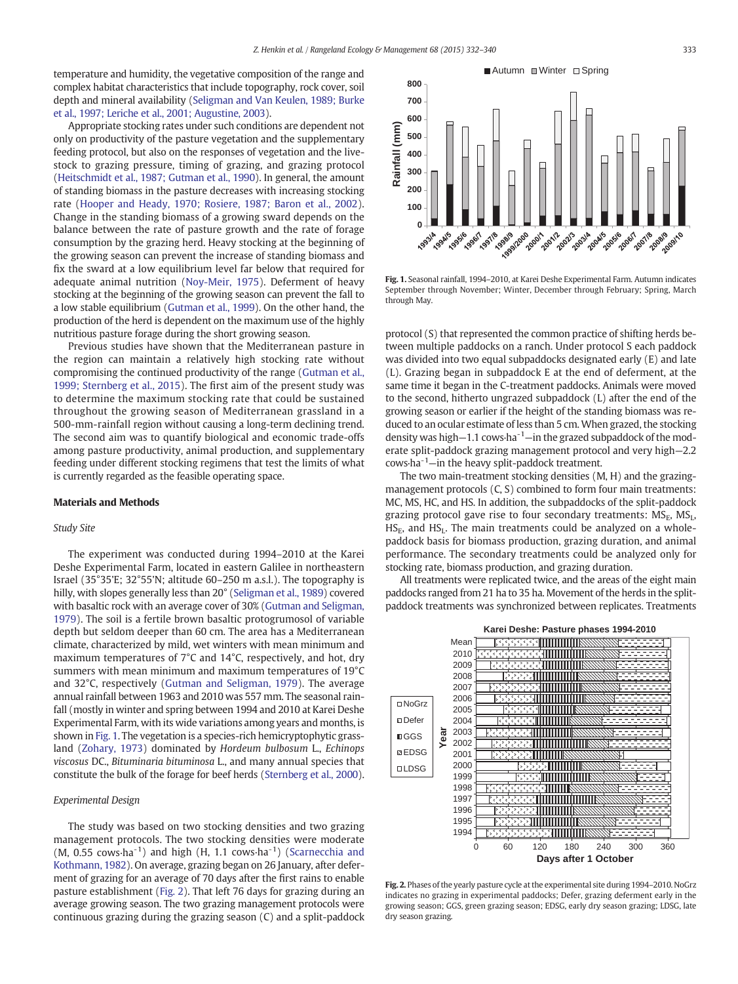through May.

**Rainfall (mm)**

Rainfall (mm)

<span id="page-1-0"></span>temperature and humidity, the vegetative composition of the range and complex habitat characteristics that include topography, rock cover, soil depth and mineral availability ([Seligman and Van Keulen, 1989; Burke](#page-8-0) [et al., 1997; Leriche et al., 2001; Augustine, 2003](#page-8-0)).

Appropriate stocking rates under such conditions are dependent not only on productivity of the pasture vegetation and the supplementary feeding protocol, but also on the responses of vegetation and the livestock to grazing pressure, timing of grazing, and grazing protocol ([Heitschmidt et al., 1987; Gutman et al., 1990\)](#page-7-0). In general, the amount of standing biomass in the pasture decreases with increasing stocking rate ([Hooper and Heady, 1970; Rosiere, 1987; Baron et al., 2002\)](#page-7-0). Change in the standing biomass of a growing sward depends on the balance between the rate of pasture growth and the rate of forage consumption by the grazing herd. Heavy stocking at the beginning of the growing season can prevent the increase of standing biomass and fix the sward at a low equilibrium level far below that required for adequate animal nutrition ([Noy-Meir, 1975](#page-8-0)). Deferment of heavy stocking at the beginning of the growing season can prevent the fall to a low stable equilibrium [\(Gutman et al., 1999\)](#page-7-0). On the other hand, the production of the herd is dependent on the maximum use of the highly nutritious pasture forage during the short growing season.

Previous studies have shown that the Mediterranean pasture in the region can maintain a relatively high stocking rate without compromising the continued productivity of the range [\(Gutman et al.,](#page-7-0) [1999; Sternberg et al., 2015\)](#page-7-0). The first aim of the present study was to determine the maximum stocking rate that could be sustained throughout the growing season of Mediterranean grassland in a 500-mm-rainfall region without causing a long-term declining trend. The second aim was to quantify biological and economic trade-offs among pasture productivity, animal production, and supplementary feeding under different stocking regimens that test the limits of what is currently regarded as the feasible operating space.

#### Materials and Methods

#### Study Site

The experiment was conducted during 1994–2010 at the Karei Deshe Experimental Farm, located in eastern Galilee in northeastern Israel (35°35'E; 32°55'N; altitude 60–250 m a.s.l.). The topography is hilly, with slopes generally less than 20° ([Seligman et al., 1989\)](#page-8-0) covered with basaltic rock with an average cover of 30% [\(Gutman and Seligman,](#page-7-0) [1979\)](#page-7-0). The soil is a fertile brown basaltic protogrumosol of variable depth but seldom deeper than 60 cm. The area has a Mediterranean climate, characterized by mild, wet winters with mean minimum and maximum temperatures of 7°C and 14°C, respectively, and hot, dry summers with mean minimum and maximum temperatures of 19°C and 32°C, respectively [\(Gutman and Seligman, 1979](#page-7-0)). The average annual rainfall between 1963 and 2010 was 557 mm. The seasonal rainfall (mostly in winter and spring between 1994 and 2010 at Karei Deshe Experimental Farm, with its wide variations among years and months, is shown in Fig. 1. The vegetation is a species-rich hemicryptophytic grassland [\(Zohary, 1973](#page-8-0)) dominated by Hordeum bulbosum L., Echinops viscosus DC., Bituminaria bituminosa L., and many annual species that constitute the bulk of the forage for beef herds ([Sternberg et al., 2000](#page-8-0)).

## Experimental Design

The study was based on two stocking densities and two grazing management protocols. The two stocking densities were moderate (M, 0.55 cows⋅ha<sup>-1</sup>) and high (H, 1.1 cows⋅ha<sup>-1</sup>) ([Scarnecchia and](#page-8-0) [Kothmann, 1982\)](#page-8-0). On average, grazing began on 26 January, after deferment of grazing for an average of 70 days after the first rains to enable pasture establishment (Fig. 2). That left 76 days for grazing during an average growing season. The two grazing management protocols were continuous grazing during the grazing season (C) and a split-paddock

■Autumn ■Winter □ Spring

protocol (S) that represented the common practice of shifting herds between multiple paddocks on a ranch. Under protocol S each paddock was divided into two equal subpaddocks designated early (E) and late (L). Grazing began in subpaddock E at the end of deferment, at the same time it began in the C-treatment paddocks. Animals were moved to the second, hitherto ungrazed subpaddock (L) after the end of the growing season or earlier if the height of the standing biomass was reduced to an ocular estimate of less than 5 cm. When grazed, the stocking density was high–1.1 cows∙ha<sup>-1</sup>–in the grazed subpaddock of the moderate split-paddock grazing management protocol and very high—2.2 cows∙ha-1—in the heavy split-paddock treatment.

Fig. 1. Seasonal rainfall, 1994–2010, at Karei Deshe Experimental Farm. Autumn indicates September through November; Winter, December through February; Spring, March

**DO DOOIT** 

un poniz 1/2 pozz 213 20314 314 poults

19818-000

16<sub>09611</sub> **A** 1/8 A 18 9919

The two main-treatment stocking densities (M, H) and the grazingmanagement protocols (C, S) combined to form four main treatments: MC, MS, HC, and HS. In addition, the subpaddocks of the split-paddock grazing protocol gave rise to four secondary treatments:  $MS_F$ ,  $MS_I$ ,  $HS<sub>F</sub>$ , and  $HS<sub>L</sub>$ . The main treatments could be analyzed on a wholepaddock basis for biomass production, grazing duration, and animal performance. The secondary treatments could be analyzed only for stocking rate, biomass production, and grazing duration.

All treatments were replicated twice, and the areas of the eight main paddocks ranged from 21 ha to 35 ha. Movement of the herds in the splitpaddock treatments was synchronized between replicates. Treatments



Fig. 2. Phases of the yearly pasture cycle at the experimental site during 1994–2010. NoGrz indicates no grazing in experimental paddocks; Defer, grazing deferment early in the growing season; GGS, green grazing season; EDSG, early dry season grazing; LDSG, late dry season grazing.

18 20819

**2007/18** 

AIS 20516

2006/7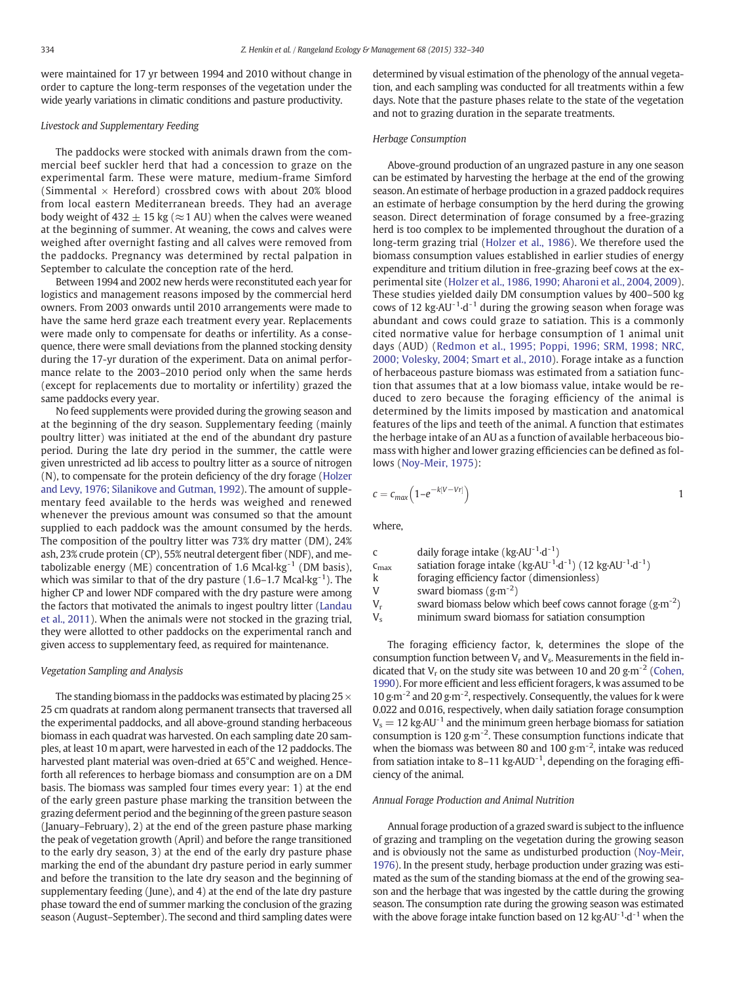were maintained for 17 yr between 1994 and 2010 without change in order to capture the long-term responses of the vegetation under the wide yearly variations in climatic conditions and pasture productivity.

## Livestock and Supplementary Feeding

The paddocks were stocked with animals drawn from the commercial beef suckler herd that had a concession to graze on the experimental farm. These were mature, medium-frame Simford (Simmental  $\times$  Hereford) crossbred cows with about 20% blood from local eastern Mediterranean breeds. They had an average body weight of 432  $\pm$  15 kg ( $\approx$  1 AU) when the calves were weaned at the beginning of summer. At weaning, the cows and calves were weighed after overnight fasting and all calves were removed from the paddocks. Pregnancy was determined by rectal palpation in September to calculate the conception rate of the herd.

Between 1994 and 2002 new herds were reconstituted each year for logistics and management reasons imposed by the commercial herd owners. From 2003 onwards until 2010 arrangements were made to have the same herd graze each treatment every year. Replacements were made only to compensate for deaths or infertility. As a consequence, there were small deviations from the planned stocking density during the 17-yr duration of the experiment. Data on animal performance relate to the 2003–2010 period only when the same herds (except for replacements due to mortality or infertility) grazed the same paddocks every year.

No feed supplements were provided during the growing season and at the beginning of the dry season. Supplementary feeding (mainly poultry litter) was initiated at the end of the abundant dry pasture period. During the late dry period in the summer, the cattle were given unrestricted ad lib access to poultry litter as a source of nitrogen (N), to compensate for the protein deficiency of the dry forage ([Holzer](#page-7-0) [and Levy, 1976; Silanikove and Gutman, 1992\)](#page-7-0). The amount of supplementary feed available to the herds was weighed and renewed whenever the previous amount was consumed so that the amount supplied to each paddock was the amount consumed by the herds. The composition of the poultry litter was 73% dry matter (DM), 24% ash, 23% crude protein (CP), 55% neutral detergent fiber (NDF), and metabolizable energy (ME) concentration of 1.6 Mcal⋅kg<sup>-1</sup> (DM basis), which was similar to that of the dry pasture (1.6–1.7 Mcal⋅kg<sup>-1</sup>). The higher CP and lower NDF compared with the dry pasture were among the factors that motivated the animals to ingest poultry litter [\(Landau](#page-7-0) [et al., 2011\)](#page-7-0). When the animals were not stocked in the grazing trial, they were allotted to other paddocks on the experimental ranch and given access to supplementary feed, as required for maintenance.

#### Vegetation Sampling and Analysis

The standing biomass in the paddocks was estimated by placing  $25 \times$ 25 cm quadrats at random along permanent transects that traversed all the experimental paddocks, and all above-ground standing herbaceous biomass in each quadrat was harvested. On each sampling date 20 samples, at least 10 m apart, were harvested in each of the 12 paddocks. The harvested plant material was oven-dried at 65°C and weighed. Henceforth all references to herbage biomass and consumption are on a DM basis. The biomass was sampled four times every year: 1) at the end of the early green pasture phase marking the transition between the grazing deferment period and the beginning of the green pasture season (January–February), 2) at the end of the green pasture phase marking the peak of vegetation growth (April) and before the range transitioned to the early dry season, 3) at the end of the early dry pasture phase marking the end of the abundant dry pasture period in early summer and before the transition to the late dry season and the beginning of supplementary feeding (June), and 4) at the end of the late dry pasture phase toward the end of summer marking the conclusion of the grazing season (August–September). The second and third sampling dates were determined by visual estimation of the phenology of the annual vegetation, and each sampling was conducted for all treatments within a few days. Note that the pasture phases relate to the state of the vegetation and not to grazing duration in the separate treatments.

#### Herbage Consumption

Above-ground production of an ungrazed pasture in any one season can be estimated by harvesting the herbage at the end of the growing season. An estimate of herbage production in a grazed paddock requires an estimate of herbage consumption by the herd during the growing season. Direct determination of forage consumed by a free-grazing herd is too complex to be implemented throughout the duration of a long-term grazing trial [\(Holzer et al., 1986](#page-7-0)). We therefore used the biomass consumption values established in earlier studies of energy expenditure and tritium dilution in free-grazing beef cows at the experimental site ([Holzer et al., 1986, 1990; Aharoni et al., 2004, 2009\)](#page-7-0). These studies yielded daily DM consumption values by 400–500 kg cows of 12 kg∙AU-1∙d-1 during the growing season when forage was abundant and cows could graze to satiation. This is a commonly cited normative value for herbage consumption of 1 animal unit days (AUD) ([Redmon et al., 1995; Poppi, 1996; SRM, 1998; NRC,](#page-8-0) [2000; Volesky, 2004; Smart et al., 2010](#page-8-0)). Forage intake as a function of herbaceous pasture biomass was estimated from a satiation function that assumes that at a low biomass value, intake would be reduced to zero because the foraging efficiency of the animal is determined by the limits imposed by mastication and anatomical features of the lips and teeth of the animal. A function that estimates the herbage intake of an AU as a function of available herbaceous biomass with higher and lower grazing efficiencies can be defined as follows [\(Noy-Meir, 1975\)](#page-8-0):

$$
c = c_{max} \left( 1 - e^{-k[V-Vr]}\right)
$$

where,

| daily forage intake $(kg·AU-1·d-1)$                                                              |
|--------------------------------------------------------------------------------------------------|
| satiation forage intake (kg $\text{AU}^{-1}\cdot d^{-1}$ ) (12 kg $\text{AU}^{-1}\cdot d^{-1}$ ) |
| foraging efficiency factor (dimensionless)                                                       |
| sward biomass $(g \cdot m^{-2})$                                                                 |
| sward biomass below which beef cows cannot forage $(g \cdot m^{-2})$                             |
| minimum sward biomass for satiation consumption                                                  |
|                                                                                                  |

The foraging efficiency factor, k, determines the slope of the consumption function between  $V_r$  and  $V_s$ . Measurements in the field in-dicated that V<sub>r</sub> on the study site was between 10 and 20 g⋅m<sup>-2</sup> ([Cohen,](#page-7-0) [1990\)](#page-7-0). For more efficient and less efficient foragers, k was assumed to be 10 g∙m-2 and 20 g∙m-2, respectively. Consequently, the values for k were 0.022 and 0.016, respectively, when daily satiation forage consumption  $V_s = 12$  kg⋅AU<sup>-1</sup> and the minimum green herbage biomass for satiation consumption is 120 g∙m-2. These consumption functions indicate that when the biomass was between 80 and 100  $\text{g} \cdot \text{m}^{-2}$ , intake was reduced from satiation intake to 8–11 kg∙AUD-1, depending on the foraging efficiency of the animal.

#### Annual Forage Production and Animal Nutrition

Annual forage production of a grazed sward is subject to the influence of grazing and trampling on the vegetation during the growing season and is obviously not the same as undisturbed production [\(Noy-Meir,](#page-8-0) [1976\)](#page-8-0). In the present study, herbage production under grazing was estimated as the sum of the standing biomass at the end of the growing season and the herbage that was ingested by the cattle during the growing season. The consumption rate during the growing season was estimated with the above forage intake function based on 12 kg⋅AU<sup>-1</sup>⋅d<sup>-1</sup> when the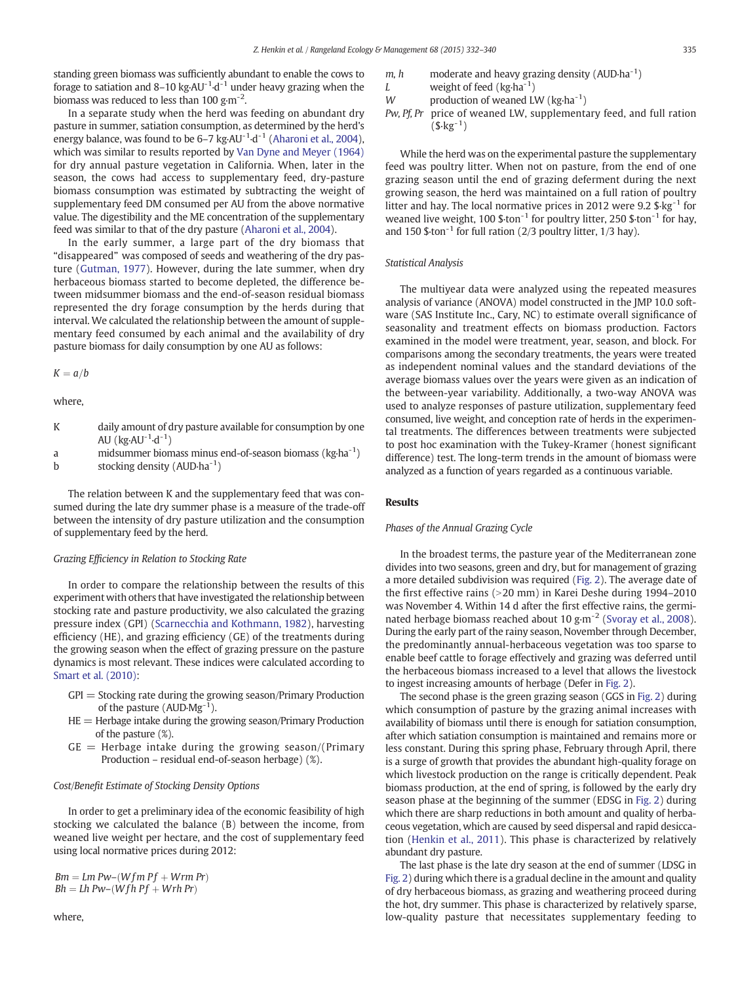standing green biomass was sufficiently abundant to enable the cows to forage to satiation and 8–10 kg⋅AU<sup>-1</sup>⋅d<sup>-1</sup> under heavy grazing when the biomass was reduced to less than 100 g∙m-2.

In a separate study when the herd was feeding on abundant dry pasture in summer, satiation consumption, as determined by the herd's energy balance, was found to be 6–7 kg⋅AU<sup>-1</sup>⋅d<sup>-1</sup> [\(Aharoni et al., 2004](#page-7-0)), which was similar to results reported by [Van Dyne and Meyer \(1964\)](#page-8-0) for dry annual pasture vegetation in California. When, later in the season, the cows had access to supplementary feed, dry-pasture biomass consumption was estimated by subtracting the weight of supplementary feed DM consumed per AU from the above normative value. The digestibility and the ME concentration of the supplementary feed was similar to that of the dry pasture ([Aharoni et al., 2004\)](#page-7-0).

In the early summer, a large part of the dry biomass that "disappeared" was composed of seeds and weathering of the dry pasture ([Gutman, 1977\)](#page-7-0). However, during the late summer, when dry herbaceous biomass started to become depleted, the difference between midsummer biomass and the end-of-season residual biomass represented the dry forage consumption by the herds during that interval. We calculated the relationship between the amount of supplementary feed consumed by each animal and the availability of dry pasture biomass for daily consumption by one AU as follows:

$$
K=a/b
$$

where,

- K daily amount of dry pasture available for consumption by one AU (kg⋅AU<sup>-1</sup>⋅d<sup>-1</sup>)
- a midsummer biomass minus end-of-season biomass (kg∙ha-1)

b stocking density (AUD∙ha-1)

The relation between K and the supplementary feed that was consumed during the late dry summer phase is a measure of the trade-off between the intensity of dry pasture utilization and the consumption of supplementary feed by the herd.

#### Grazing Efficiency in Relation to Stocking Rate

In order to compare the relationship between the results of this experiment with others that have investigated the relationship between stocking rate and pasture productivity, we also calculated the grazing pressure index (GPI) [\(Scarnecchia and Kothmann, 1982\)](#page-8-0), harvesting efficiency (HE), and grazing efficiency (GE) of the treatments during the growing season when the effect of grazing pressure on the pasture dynamics is most relevant. These indices were calculated according to [Smart et al. \(2010\)](#page-8-0):

- $GPI =$  Stocking rate during the growing season/Primary Production of the pasture (AUD∙Mg-1).
- $HE =$  Herbage intake during the growing season/Primary Production of the pasture (%).
- $GE =$  Herbage intake during the growing season/(Primary Production – residual end-of-season herbage) (%).

#### Cost/Benefit Estimate of Stocking Density Options

In order to get a preliminary idea of the economic feasibility of high stocking we calculated the balance (B) between the income, from weaned live weight per hectare, and the cost of supplementary feed using local normative prices during 2012:

 $Bm = Lm Pw-(Wfm Pf + Wrm Pr)$  $Bh = Lh Pw-(Wfh Pf + Wrh Pr)$ 

where,

- m, h moderate and heavy grazing density (AUD⋅ha<sup>-1</sup>)
- L weight of feed  $(kg \cdot ha^{-1})$
- W production of weaned LW (kg⋅ha<sup>-1</sup>)
- Pw, Pf, Pr price of weaned LW, supplementary feed, and full ration  $($·kg<sup>-1</sup>)$

While the herd was on the experimental pasture the supplementary feed was poultry litter. When not on pasture, from the end of one grazing season until the end of grazing deferment during the next growing season, the herd was maintained on a full ration of poultry litter and hay. The local normative prices in 2012 were 9.2 \$∙kg-1 for weaned live weight, 100 \$⋅ton<sup>-1</sup> for poultry litter, 250 \$⋅ton<sup>-1</sup> for hay, and 150 \$∙ton-1 for full ration (2/3 poultry litter, 1/3 hay).

# Statistical Analysis

The multiyear data were analyzed using the repeated measures analysis of variance (ANOVA) model constructed in the JMP 10.0 software (SAS Institute Inc., Cary, NC) to estimate overall significance of seasonality and treatment effects on biomass production. Factors examined in the model were treatment, year, season, and block. For comparisons among the secondary treatments, the years were treated as independent nominal values and the standard deviations of the average biomass values over the years were given as an indication of the between-year variability. Additionally, a two-way ANOVA was used to analyze responses of pasture utilization, supplementary feed consumed, live weight, and conception rate of herds in the experimental treatments. The differences between treatments were subjected to post hoc examination with the Tukey-Kramer (honest significant difference) test. The long-term trends in the amount of biomass were analyzed as a function of years regarded as a continuous variable.

#### Results

#### Phases of the Annual Grazing Cycle

In the broadest terms, the pasture year of the Mediterranean zone divides into two seasons, green and dry, but for management of grazing a more detailed subdivision was required ([Fig. 2](#page-1-0)). The average date of the first effective rains (>20 mm) in Karei Deshe during 1994–2010 was November 4. Within 14 d after the first effective rains, the germi-nated herbage biomass reached about 10 g⋅m<sup>-2</sup> ([Svoray et al., 2008\)](#page-8-0). During the early part of the rainy season, November through December, the predominantly annual-herbaceous vegetation was too sparse to enable beef cattle to forage effectively and grazing was deferred until the herbaceous biomass increased to a level that allows the livestock to ingest increasing amounts of herbage (Defer in [Fig. 2\)](#page-1-0).

The second phase is the green grazing season (GGS in [Fig. 2](#page-1-0)) during which consumption of pasture by the grazing animal increases with availability of biomass until there is enough for satiation consumption, after which satiation consumption is maintained and remains more or less constant. During this spring phase, February through April, there is a surge of growth that provides the abundant high-quality forage on which livestock production on the range is critically dependent. Peak biomass production, at the end of spring, is followed by the early dry season phase at the beginning of the summer (EDSG in [Fig. 2](#page-1-0)) during which there are sharp reductions in both amount and quality of herbaceous vegetation, which are caused by seed dispersal and rapid desiccation [\(Henkin et al., 2011\)](#page-7-0). This phase is characterized by relatively abundant dry pasture.

The last phase is the late dry season at the end of summer (LDSG in [Fig. 2](#page-1-0)) during which there is a gradual decline in the amount and quality of dry herbaceous biomass, as grazing and weathering proceed during the hot, dry summer. This phase is characterized by relatively sparse, low-quality pasture that necessitates supplementary feeding to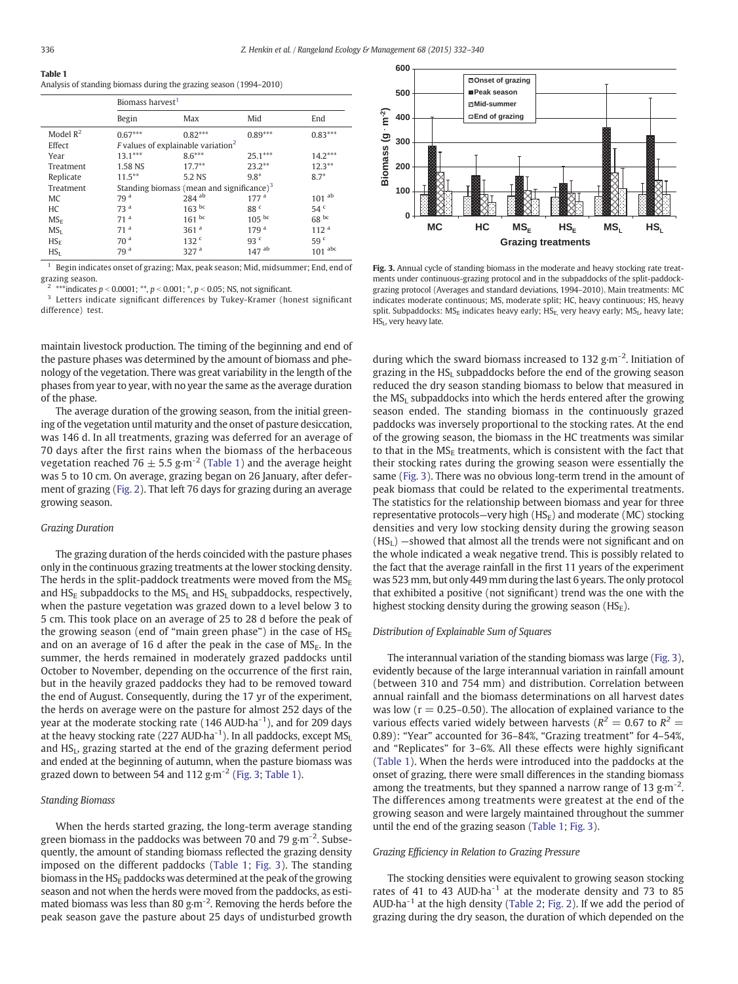# <span id="page-4-0"></span>Table 1 Analysis of standing biomass during the grazing season (1994–2010)

|                      | Biomass harvest <sup>1</sup>                 |                                                  |                     |                     |  |  |  |  |
|----------------------|----------------------------------------------|--------------------------------------------------|---------------------|---------------------|--|--|--|--|
|                      | Begin                                        | Max                                              | Mid                 | End                 |  |  |  |  |
| Model $\mathbb{R}^2$ | $0.67***$                                    | $0.82***$                                        | $0.89***$           | $0.83***$           |  |  |  |  |
| Effect               |                                              | $F$ values of explainable variation <sup>2</sup> |                     |                     |  |  |  |  |
| Year                 | $13.1***$                                    | $8.6***$                                         | $25.1***$           | $14.2***$           |  |  |  |  |
| Treatment            | 1.58 NS                                      | $17.7***$                                        | $23.2***$           | $12.3***$           |  |  |  |  |
| Replicate            | $11.5***$                                    | 5.2 NS                                           | $9.8*$              | $8.7*$              |  |  |  |  |
| Treatment            | Standing biomass (mean and significance) $3$ |                                                  |                     |                     |  |  |  |  |
| MC                   | 79 <sup> a</sup>                             | 284 ab                                           | 177 <sup>1</sup>    | $101$ <sup>ab</sup> |  |  |  |  |
| HC                   | 73 <sup>a</sup>                              | $163$ bc                                         | 88 <sup>c</sup>     | 54 <sup>c</sup>     |  |  |  |  |
| $MS_F$               | 71 <sup>a</sup>                              | $161$ bc                                         | $105^{bc}$          | 68 <sup>bc</sup>    |  |  |  |  |
| MS <sub>I</sub>      | 71 <sup>a</sup>                              | 361 <sup>a</sup>                                 | 179 <sup>a</sup>    | 112 <sup>a</sup>    |  |  |  |  |
| $HS_{E}$             | 70 <sup>a</sup>                              | 132 <sup>c</sup>                                 | 93 <sup>c</sup>     | 59 <sup>c</sup>     |  |  |  |  |
| HS <sub>L</sub>      | 79 <sup> a</sup>                             | 327 <sup>a</sup>                                 | $147$ <sup>ab</sup> | $101$ abc           |  |  |  |  |

Begin indicates onset of grazing; Max, peak season; Mid, midsummer; End, end of grazing season.

<sup>2</sup> \*\*\*indicates  $p < 0.0001$ ; \*\*,  $p < 0.001$ ; \*,  $p < 0.05$ ; NS, not significant.

<sup>3</sup> Letters indicate significant differences by Tukey-Kramer (honest significant difference) test.

maintain livestock production. The timing of the beginning and end of the pasture phases was determined by the amount of biomass and phenology of the vegetation. There was great variability in the length of the phases from year to year, with no year the same as the average duration of the phase.

The average duration of the growing season, from the initial greening of the vegetation until maturity and the onset of pasture desiccation, was 146 d. In all treatments, grazing was deferred for an average of 70 days after the first rains when the biomass of the herbaceous vegetation reached 76  $\pm$  5.5 g⋅m<sup>-2</sup> (Table 1) and the average height was 5 to 10 cm. On average, grazing began on 26 January, after deferment of grazing [\(Fig. 2\)](#page-1-0). That left 76 days for grazing during an average growing season.

#### Grazing Duration

The grazing duration of the herds coincided with the pasture phases only in the continuous grazing treatments at the lower stocking density. The herds in the split-paddock treatments were moved from the  $MS_E$ and  $HS_E$  subpaddocks to the  $MS_L$  and  $HS_L$  subpaddocks, respectively, when the pasture vegetation was grazed down to a level below 3 to 5 cm. This took place on an average of 25 to 28 d before the peak of the growing season (end of "main green phase") in the case of  $HS_E$ and on an average of 16 d after the peak in the case of  $MS_F$ . In the summer, the herds remained in moderately grazed paddocks until October to November, depending on the occurrence of the first rain, but in the heavily grazed paddocks they had to be removed toward the end of August. Consequently, during the 17 yr of the experiment, the herds on average were on the pasture for almost 252 days of the year at the moderate stocking rate (146 AUD⋅ha<sup>-1</sup>), and for 209 days at the heavy stocking rate (227 AUD⋅ha<sup>-1</sup>). In all paddocks, except  $MS<sub>L</sub>$ and  $HS_L$ , grazing started at the end of the grazing deferment period and ended at the beginning of autumn, when the pasture biomass was grazed down to between 54 and 112  $g·m<sup>-2</sup>$  (Fig. 3; Table 1).

## Standing Biomass

When the herds started grazing, the long-term average standing green biomass in the paddocks was between 70 and 79 g⋅m<sup>-2</sup>. Subsequently, the amount of standing biomass reflected the grazing density imposed on the different paddocks (Table 1; Fig. 3). The standing biomass in the  $HS_E$  paddocks was determined at the peak of the growing season and not when the herds were moved from the paddocks, as estimated biomass was less than 80 g∙m-2. Removing the herds before the peak season gave the pasture about 25 days of undisturbed growth



Fig. 3. Annual cycle of standing biomass in the moderate and heavy stocking rate treatments under continuous-grazing protocol and in the subpaddocks of the split-paddockgrazing protocol (Averages and standard deviations, 1994–2010). Main treatments: MC indicates moderate continuous; MS, moderate split; HC, heavy continuous; HS, heavy split. Subpaddocks:  $MS_E$  indicates heavy early;  $HS_E$  very heavy early;  $MS_L$ , heavy late; HSL, very heavy late.

during which the sward biomass increased to 132 g∙m-2. Initiation of grazing in the  $HS<sub>I</sub>$  subpaddocks before the end of the growing season reduced the dry season standing biomass to below that measured in the MS<sub>L</sub> subpaddocks into which the herds entered after the growing season ended. The standing biomass in the continuously grazed paddocks was inversely proportional to the stocking rates. At the end of the growing season, the biomass in the HC treatments was similar to that in the  $MS<sub>E</sub>$  treatments, which is consistent with the fact that their stocking rates during the growing season were essentially the same (Fig. 3). There was no obvious long-term trend in the amount of peak biomass that could be related to the experimental treatments. The statistics for the relationship between biomass and year for three representative protocols—very high  $(HS_E)$  and moderate  $(MC)$  stocking densities and very low stocking density during the growing season  $(HS<sub>I</sub>)$  –showed that almost all the trends were not significant and on the whole indicated a weak negative trend. This is possibly related to the fact that the average rainfall in the first 11 years of the experiment was 523 mm, but only 449 mm during the last 6 years. The only protocol that exhibited a positive (not significant) trend was the one with the highest stocking density during the growing season ( $HS_E$ ).

#### Distribution of Explainable Sum of Squares

The interannual variation of the standing biomass was large (Fig. 3), evidently because of the large interannual variation in rainfall amount (between 310 and 754 mm) and distribution. Correlation between annual rainfall and the biomass determinations on all harvest dates was low ( $r = 0.25 - 0.50$ ). The allocation of explained variance to the various effects varied widely between harvests ( $R^2 = 0.67$  to  $R^2 =$ 0.89): "Year" accounted for 36–84%, "Grazing treatment" for 4–54%, and "Replicates" for 3–6%. All these effects were highly significant (Table 1). When the herds were introduced into the paddocks at the onset of grazing, there were small differences in the standing biomass among the treatments, but they spanned a narrow range of 13 g⋅m<sup>-2</sup>. The differences among treatments were greatest at the end of the growing season and were largely maintained throughout the summer until the end of the grazing season (Table 1; Fig. 3).

#### Grazing Efficiency in Relation to Grazing Pressure

The stocking densities were equivalent to growing season stocking rates of 41 to 43 AUD∙ha-1 at the moderate density and 73 to 85 AUD∙ha-1 at the high density [\(Table 2](#page-5-0); [Fig. 2\)](#page-1-0). If we add the period of grazing during the dry season, the duration of which depended on the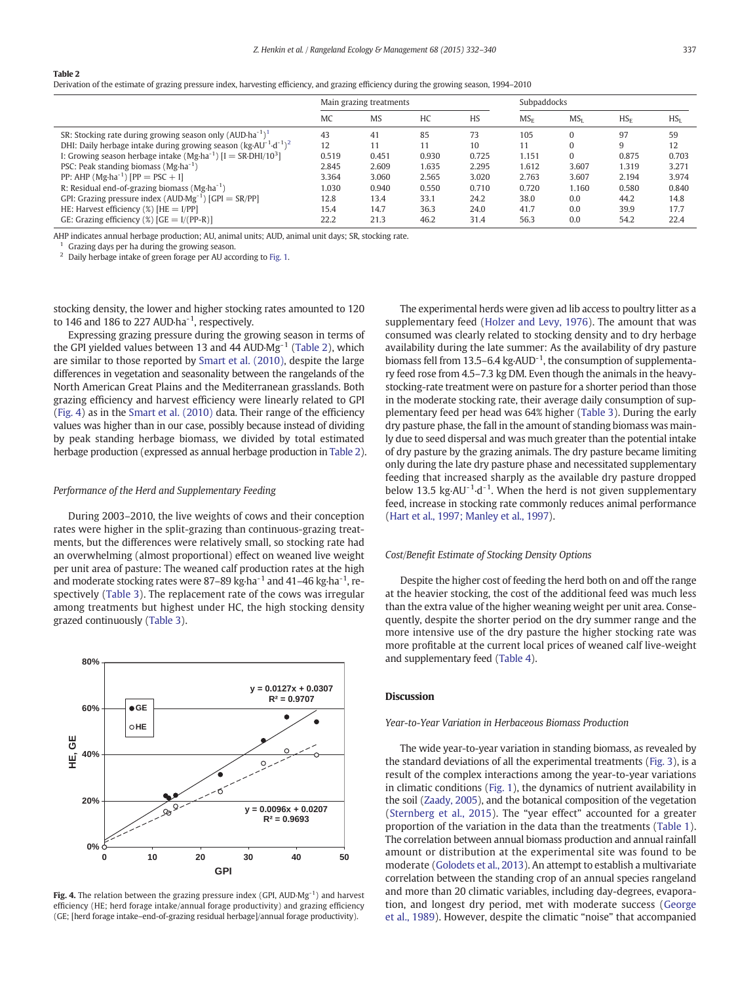#### <span id="page-5-0"></span>Table 2

Derivation of the estimate of grazing pressure index, harvesting efficiency, and grazing efficiency during the growing season, 1994–2010

|                                                                                           | Main grazing treatments |           |       | Subpaddocks |        |                 |          |                 |
|-------------------------------------------------------------------------------------------|-------------------------|-----------|-------|-------------|--------|-----------------|----------|-----------------|
|                                                                                           | MC                      | <b>MS</b> | HC    | HS          | $MS_E$ | MS <sub>L</sub> | $HS_{E}$ | HS <sub>L</sub> |
| SR: Stocking rate during growing season only $(AUD-1)1$                                   | 43                      | 41        | 85    | 73          | 105    | $\Omega$        | 97       | 59              |
| DHI: Daily herbage intake during growing season (kg $AU^{-1} \cdot d^{-1}$ ) <sup>2</sup> | 12                      | 11        | 11    | 10          |        |                 | 9        | 12              |
| I: Growing season herbage intake (Mg·ha <sup>-1</sup> ) $[I = SR·DHI/10^3]$               | 0.519                   | 0.451     | 0.930 | 0.725       | 1.151  | $\Omega$        | 0.875    | 0.703           |
| PSC: Peak standing biomass $(Mg-1)$                                                       | 2.845                   | 2.609     | 1.635 | 2.295       | 1.612  | 3.607           | 1.319    | 3.271           |
| PP: AHP $(Mg·ha-1)$ $[PP = PSC + I]$                                                      | 3.364                   | 3.060     | 2.565 | 3.020       | 2.763  | 3.607           | 2.194    | 3.974           |
| R: Residual end-of-grazing biomass ( $Mg$ -ha <sup>-1</sup> )                             | 1.030                   | 0.940     | 0.550 | 0.710       | 0.720  | 1.160           | 0.580    | 0.840           |
| GPI: Grazing pressure index $(AUD \cdot Mg^{-1})$ $[GP] = SR/PP$                          | 12.8                    | 13.4      | 33.1  | 24.2        | 38.0   | 0.0             | 44.2     | 14.8            |
| HE: Harvest efficiency $(\%)$ [HE = I/PP]                                                 | 15.4                    | 14.7      | 36.3  | 24.0        | 41.7   | 0.0             | 39.9     | 17.7            |
| GE: Grazing efficiency $(\%)$ [GE = I/(PP-R)]                                             | 22.2                    | 21.3      | 46.2  | 31.4        | 56.3   | 0.0             | 54.2     | 22.4            |

AHP indicates annual herbage production; AU, animal units; AUD, animal unit days; SR, stocking rate.

<sup>1</sup> Grazing days per ha during the growing season.

<sup>2</sup> Daily herbage intake of green forage per AU according to [Fig. 1](#page-1-0).

stocking density, the lower and higher stocking rates amounted to 120 to 146 and 186 to 227 AUD⋅ha<sup>-1</sup>, respectively.

Expressing grazing pressure during the growing season in terms of the GPI yielded values between 13 and 44 AUD∙Mg-1 (Table 2), which are similar to those reported by [Smart et al. \(2010\)](#page-8-0), despite the large differences in vegetation and seasonality between the rangelands of the North American Great Plains and the Mediterranean grasslands. Both grazing efficiency and harvest efficiency were linearly related to GPI (Fig. 4) as in the [Smart et al. \(2010\)](#page-8-0) data. Their range of the efficiency values was higher than in our case, possibly because instead of dividing by peak standing herbage biomass, we divided by total estimated herbage production (expressed as annual herbage production in Table 2).

#### Performance of the Herd and Supplementary Feeding

During 2003–2010, the live weights of cows and their conception rates were higher in the split-grazing than continuous-grazing treatments, but the differences were relatively small, so stocking rate had an overwhelming (almost proportional) effect on weaned live weight per unit area of pasture: The weaned calf production rates at the high and moderate stocking rates were 87–89 kg⋅ha<sup>-1</sup> and 41–46 kg⋅ha<sup>-1</sup>, respectively ([Table 3](#page-6-0)). The replacement rate of the cows was irregular among treatments but highest under HC, the high stocking density grazed continuously [\(Table 3](#page-6-0)).



Fig. 4. The relation between the grazing pressure index (GPI, AUD∙Mg-1) and harvest efficiency (HE; herd forage intake/annual forage productivity) and grazing efficiency (GE; [herd forage intake–end-of-grazing residual herbage]/annual forage productivity).

The experimental herds were given ad lib access to poultry litter as a supplementary feed [\(Holzer and Levy, 1976\)](#page-7-0). The amount that was consumed was clearly related to stocking density and to dry herbage availability during the late summer: As the availability of dry pasture biomass fell from 13.5–6.4 kg∙AUD-1, the consumption of supplementary feed rose from 4.5–7.3 kg DM. Even though the animals in the heavystocking-rate treatment were on pasture for a shorter period than those in the moderate stocking rate, their average daily consumption of supplementary feed per head was 64% higher [\(Table 3](#page-6-0)). During the early dry pasture phase, the fall in the amount of standing biomass was mainly due to seed dispersal and was much greater than the potential intake of dry pasture by the grazing animals. The dry pasture became limiting only during the late dry pasture phase and necessitated supplementary feeding that increased sharply as the available dry pasture dropped below 13.5 kg∙AU-1∙d-1. When the herd is not given supplementary feed, increase in stocking rate commonly reduces animal performance ([Hart et al., 1997; Manley et al., 1997\)](#page-7-0).

#### Cost/Benefit Estimate of Stocking Density Options

Despite the higher cost of feeding the herd both on and off the range at the heavier stocking, the cost of the additional feed was much less than the extra value of the higher weaning weight per unit area. Consequently, despite the shorter period on the dry summer range and the more intensive use of the dry pasture the higher stocking rate was more profitable at the current local prices of weaned calf live-weight and supplementary feed [\(Table 4\)](#page-6-0).

#### Discussion

#### Year-to-Year Variation in Herbaceous Biomass Production

The wide year-to-year variation in standing biomass, as revealed by the standard deviations of all the experimental treatments [\(Fig. 3](#page-4-0)), is a result of the complex interactions among the year-to-year variations in climatic conditions ([Fig. 1\)](#page-1-0), the dynamics of nutrient availability in the soil ([Zaady, 2005](#page-8-0)), and the botanical composition of the vegetation ([Sternberg et al., 2015](#page-8-0)). The "year effect" accounted for a greater proportion of the variation in the data than the treatments ([Table 1\)](#page-4-0). The correlation between annual biomass production and annual rainfall amount or distribution at the experimental site was found to be moderate [\(Golodets et al., 2013\)](#page-7-0). An attempt to establish a multivariate correlation between the standing crop of an annual species rangeland and more than 20 climatic variables, including day-degrees, evaporation, and longest dry period, met with moderate success ([George](#page-7-0) [et al., 1989\)](#page-7-0). However, despite the climatic "noise" that accompanied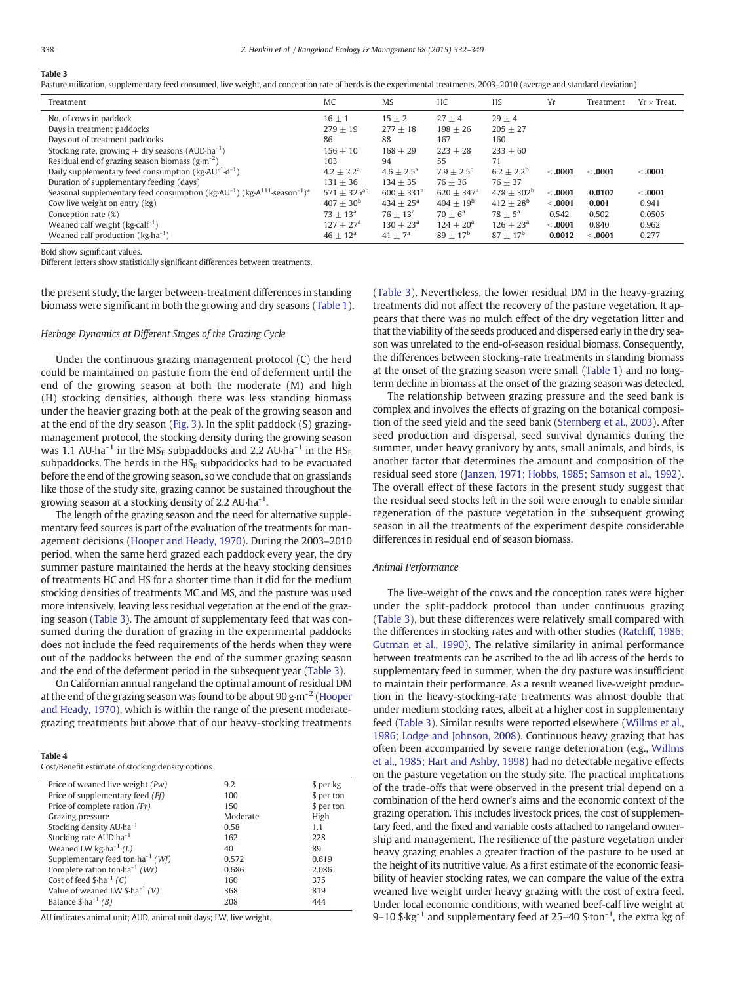<span id="page-6-0"></span>

| $\sim$<br>$\sim$<br>. .<br>. . |
|--------------------------------|
|--------------------------------|

Pasture utilization, supplementary feed consumed, live weight, and conception rate of herds is the experimental treatments, 2003–2010 (average and standard deviation)

| Treatment                                                                           | MC                    | <b>MS</b>                | HC                  | <b>HS</b>             | Yr      | Treatment | $Yr \times Treat.$ |
|-------------------------------------------------------------------------------------|-----------------------|--------------------------|---------------------|-----------------------|---------|-----------|--------------------|
| No. of cows in paddock                                                              | $16 + 1$              | $15 + 2$                 | $27 + 4$            | $29 + 4$              |         |           |                    |
| Days in treatment paddocks                                                          | $279 + 19$            | $277 + 18$               | $198 + 26$          | $205 + 27$            |         |           |                    |
| Days out of treatment paddocks                                                      | 86                    | 88                       | 167                 | 160                   |         |           |                    |
| Stocking rate, growing $+$ dry seasons (AUD $\cdot$ ha <sup>-1</sup> )              | $156 + 10$            | $168 + 29$               | $223 + 28$          | $233 + 60$            |         |           |                    |
| Residual end of grazing season biomass $(g \cdot m^{-2})$                           | 103                   | 94                       | 55                  | 71                    |         |           |                    |
| Daily supplementary feed consumption ( $kg$ -AU <sup>-1</sup> -d <sup>-1</sup> )    | $4.2 \pm 2.2^{\rm a}$ | $4.6 + 2.5^{\circ}$      | $7.9 + 2.5^c$       | $6.2 \pm 2.2^{\rm b}$ | $-0001$ | < .0001   | < .0001            |
| Duration of supplementary feeding (days)                                            | $131 + 36$            | $134 + 35$               | $76 + 36$           | $76 + 37$             |         |           |                    |
| Seasonal supplementary feed consumption $(kg·AU^{-1})$ $(kg·A^{111}.season^{-1})^*$ | $571 + 325^{ab}$      | $600 + 331$ <sup>a</sup> | $620 + 347^{\circ}$ | $478 + 302^b$         | < 0.001 | 0.0107    | < 0.001            |
| Cow live weight on entry (kg)                                                       | $407 + 30^{b}$        | $434 + 25^{\circ}$       | $404 + 19^{b}$      | $412 + 28^{b}$        | $-0001$ | 0.001     | 0.941              |
| Conception rate (%)                                                                 | $73 + 13^a$           | $76 + 13^{\circ}$        | $70 + 6^{\rm a}$    | $78 + 5^{\rm a}$      | 0.542   | 0.502     | 0.0505             |
| Weaned calf weight ( $kg\text{-}calf}^{-1}$ )                                       | $127 + 27^{\rm a}$    | $130 + 23$ <sup>a</sup>  | $124 + 20^{\rm a}$  | $126 + 23^{\rm a}$    | < .0001 | 0.840     | 0.962              |
| Weaned calf production $(kg \cdot ha^{-1})$                                         | $46 + 12^a$           | $41 + 7^a$               | $89 + 17^{b}$       | $87 + 17^{\rm b}$     | 0.0012  | < 0.0001  | 0.277              |

Bold show significant values.

Different letters show statistically significant differences between treatments.

the present study, the larger between-treatment differences in standing biomass were significant in both the growing and dry seasons [\(Table 1\)](#page-4-0).

#### Herbage Dynamics at Different Stages of the Grazing Cycle

Under the continuous grazing management protocol (C) the herd could be maintained on pasture from the end of deferment until the end of the growing season at both the moderate (M) and high (H) stocking densities, although there was less standing biomass under the heavier grazing both at the peak of the growing season and at the end of the dry season ([Fig. 3](#page-4-0)). In the split paddock (S) grazingmanagement protocol, the stocking density during the growing season was 1.1 AU⋅ha<sup>-1</sup> in the MS<sub>E</sub> subpaddocks and 2.2 AU⋅ha<sup>-1</sup> in the HS<sub>E</sub> subpaddocks. The herds in the  $HS_E$  subpaddocks had to be evacuated before the end of the growing season, so we conclude that on grasslands like those of the study site, grazing cannot be sustained throughout the growing season at a stocking density of 2.2 AU∙ha-1.

The length of the grazing season and the need for alternative supplementary feed sources is part of the evaluation of the treatments for management decisions ([Hooper and Heady, 1970](#page-7-0)). During the 2003–2010 period, when the same herd grazed each paddock every year, the dry summer pasture maintained the herds at the heavy stocking densities of treatments HC and HS for a shorter time than it did for the medium stocking densities of treatments MC and MS, and the pasture was used more intensively, leaving less residual vegetation at the end of the grazing season (Table 3). The amount of supplementary feed that was consumed during the duration of grazing in the experimental paddocks does not include the feed requirements of the herds when they were out of the paddocks between the end of the summer grazing season and the end of the deferment period in the subsequent year (Table 3).

On Californian annual rangeland the optimal amount of residual DM at the end of the grazing season was found to be about 90 g∙m-2 ([Hooper](#page-7-0) [and Heady, 1970](#page-7-0)), which is within the range of the present moderategrazing treatments but above that of our heavy-stocking treatments

#### Table 4

Cost/Benefit estimate of stocking density options

| Price of weaned live weight (Pw)                     | 9.2      | \$ per kg  |
|------------------------------------------------------|----------|------------|
| Price of supplementary feed (Pf)                     | 100      | \$ per ton |
| Price of complete ration (Pr)                        | 150      | \$ per ton |
| Grazing pressure                                     | Moderate | High       |
| Stocking density AU-ha <sup>-1</sup>                 | 0.58     | 1.1        |
| Stocking rate AUD-ha <sup>-1</sup>                   | 162      | 228        |
| Weaned LW kg $\cdot$ ha <sup>-1</sup> (L)            | 40       | 89         |
| Supplementary feed ton $\cdot$ ha <sup>-1</sup> (Wf) | 0.572    | 0.619      |
| Complete ration ton ha <sup>-1</sup> (Wr)            | 0.686    | 2.086      |
| Cost of feed $\$ .4ha <sup>-1</sup> (C)              | 160      | 375        |
| Value of weaned LW $\$ -ha <sup>-1</sup> (V)         | 368      | 819        |
| Balance $$$ ·ha <sup>-1</sup> (B)                    | 208      | 444        |
|                                                      |          |            |

AU indicates animal unit; AUD, animal unit days; LW, live weight.

(Table 3). Nevertheless, the lower residual DM in the heavy-grazing treatments did not affect the recovery of the pasture vegetation. It appears that there was no mulch effect of the dry vegetation litter and that the viability of the seeds produced and dispersed early in the dry season was unrelated to the end-of-season residual biomass. Consequently, the differences between stocking-rate treatments in standing biomass at the onset of the grazing season were small ([Table 1](#page-4-0)) and no longterm decline in biomass at the onset of the grazing season was detected.

The relationship between grazing pressure and the seed bank is complex and involves the effects of grazing on the botanical composition of the seed yield and the seed bank [\(Sternberg et al., 2003\)](#page-8-0). After seed production and dispersal, seed survival dynamics during the summer, under heavy granivory by ants, small animals, and birds, is another factor that determines the amount and composition of the residual seed store [\(Janzen, 1971; Hobbs, 1985; Samson et al., 1992\)](#page-7-0). The overall effect of these factors in the present study suggest that the residual seed stocks left in the soil were enough to enable similar regeneration of the pasture vegetation in the subsequent growing season in all the treatments of the experiment despite considerable differences in residual end of season biomass.

#### Animal Performance

The live-weight of the cows and the conception rates were higher under the split-paddock protocol than under continuous grazing (Table 3), but these differences were relatively small compared with the differences in stocking rates and with other studies ([Ratcliff, 1986;](#page-8-0) [Gutman et al., 1990\)](#page-8-0). The relative similarity in animal performance between treatments can be ascribed to the ad lib access of the herds to supplementary feed in summer, when the dry pasture was insufficient to maintain their performance. As a result weaned live-weight production in the heavy-stocking-rate treatments was almost double that under medium stocking rates, albeit at a higher cost in supplementary feed (Table 3). Similar results were reported elsewhere [\(Willms et al.,](#page-8-0) [1986; Lodge and Johnson, 2008\)](#page-8-0). Continuous heavy grazing that has often been accompanied by severe range deterioration (e.g., [Willms](#page-8-0) [et al., 1985; Hart and Ashby, 1998\)](#page-8-0) had no detectable negative effects on the pasture vegetation on the study site. The practical implications of the trade-offs that were observed in the present trial depend on a combination of the herd owner's aims and the economic context of the grazing operation. This includes livestock prices, the cost of supplementary feed, and the fixed and variable costs attached to rangeland ownership and management. The resilience of the pasture vegetation under heavy grazing enables a greater fraction of the pasture to be used at the height of its nutritive value. As a first estimate of the economic feasibility of heavier stocking rates, we can compare the value of the extra weaned live weight under heavy grazing with the cost of extra feed. Under local economic conditions, with weaned beef-calf live weight at 9–10 \$∙kg-1 and supplementary feed at 25–40 \$∙ton-1, the extra kg of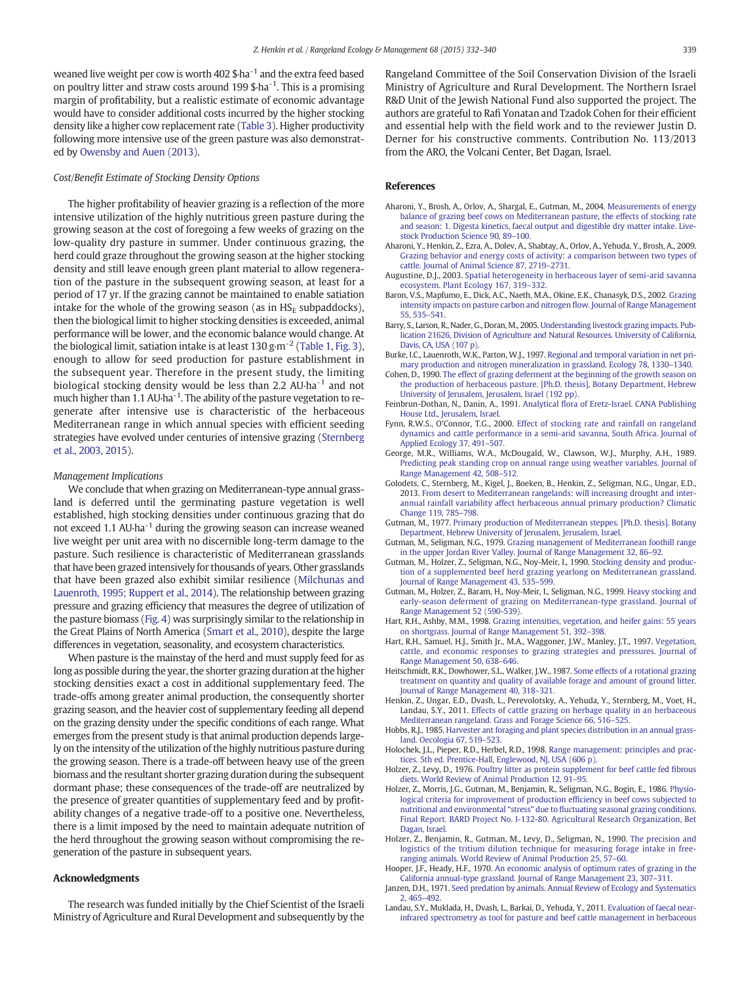<span id="page-7-0"></span>weaned live weight per cow is worth 402 \$⋅ha<sup>-1</sup> and the extra feed based on poultry litter and straw costs around 199 \$⋅ha<sup>-1</sup>. This is a promising margin of profitability, but a realistic estimate of economic advantage would have to consider additional costs incurred by the higher stocking density like a higher cow replacement rate ([Table 3](#page-6-0)). Higher productivity following more intensive use of the green pasture was also demonstrated by [Owensby and Auen \(2013\)](#page-8-0).

#### Cost/Benefit Estimate of Stocking Density Options

The higher profitability of heavier grazing is a reflection of the more intensive utilization of the highly nutritious green pasture during the growing season at the cost of foregoing a few weeks of grazing on the low-quality dry pasture in summer. Under continuous grazing, the herd could graze throughout the growing season at the higher stocking density and still leave enough green plant material to allow regeneration of the pasture in the subsequent growing season, at least for a period of 17 yr. If the grazing cannot be maintained to enable satiation intake for the whole of the growing season (as in  $HS_E$  subpaddocks), then the biological limit to higher stocking densities is exceeded, animal performance will be lower, and the economic balance would change. At the biological limit, satiation intake is at least 130 g⋅m<sup>-2</sup> [\(Table 1](#page-4-0), [Fig. 3](#page-4-0)), enough to allow for seed production for pasture establishment in the subsequent year. Therefore in the present study, the limiting biological stocking density would be less than 2.2 AU∙ha-1 and not much higher than 1.1 AU⋅ha<sup>-1</sup>. The ability of the pasture vegetation to regenerate after intensive use is characteristic of the herbaceous Mediterranean range in which annual species with efficient seeding strategies have evolved under centuries of intensive grazing ([Sternberg](#page-8-0) [et al., 2003, 2015\)](#page-8-0).

#### Management Implications

We conclude that when grazing on Mediterranean-type annual grassland is deferred until the germinating pasture vegetation is well established, high stocking densities under continuous grazing that do not exceed 1.1 AU⋅ha<sup>-1</sup> during the growing season can increase weaned live weight per unit area with no discernible long-term damage to the pasture. Such resilience is characteristic of Mediterranean grasslands that have been grazed intensively for thousands of years. Other grasslands that have been grazed also exhibit similar resilience ([Milchunas and](#page-8-0) [Lauenroth, 1995; Ruppert et al., 2014](#page-8-0)). The relationship between grazing pressure and grazing efficiency that measures the degree of utilization of the pasture biomass [\(Fig. 4\)](#page-5-0) was surprisingly similar to the relationship in the Great Plains of North America [\(Smart et al., 2010](#page-8-0)), despite the large differences in vegetation, seasonality, and ecosystem characteristics.

When pasture is the mainstay of the herd and must supply feed for as long as possible during the year, the shorter grazing duration at the higher stocking densities exact a cost in additional supplementary feed. The trade-offs among greater animal production, the consequently shorter grazing season, and the heavier cost of supplementary feeding all depend on the grazing density under the specific conditions of each range. What emerges from the present study is that animal production depends largely on the intensity of the utilization of the highly nutritious pasture during the growing season. There is a trade-off between heavy use of the green biomass and the resultant shorter grazing duration during the subsequent dormant phase; these consequences of the trade-off are neutralized by the presence of greater quantities of supplementary feed and by profitability changes of a negative trade-off to a positive one. Nevertheless, there is a limit imposed by the need to maintain adequate nutrition of the herd throughout the growing season without compromising the regeneration of the pasture in subsequent years.

#### Acknowledgments

The research was funded initially by the Chief Scientist of the Israeli Ministry of Agriculture and Rural Development and subsequently by the

Rangeland Committee of the Soil Conservation Division of the Israeli Ministry of Agriculture and Rural Development. The Northern Israel R&D Unit of the Jewish National Fund also supported the project. The authors are grateful to Rafi Yonatan and Tzadok Cohen for their efficient and essential help with the field work and to the reviewer Justin D. Derner for his constructive comments. Contribution No. 113/2013 from the ARO, the Volcani Center, Bet Dagan, Israel.

#### References

- Aharoni, Y., Brosh, A., Orlov, A., Shargal, E., Gutman, M., 2004. [Measurements of energy](http://refhub.elsevier.com/S1550-7424(15)00079-2/rf0005) [balance of grazing beef cows on Mediterranean pasture, the effects of stocking rate](http://refhub.elsevier.com/S1550-7424(15)00079-2/rf0005) [and season: 1. Digesta kinetics, faecal output and digestible dry matter intake. Live](http://refhub.elsevier.com/S1550-7424(15)00079-2/rf0005)[stock Production Science 90, 89](http://refhub.elsevier.com/S1550-7424(15)00079-2/rf0005)–100.
- Aharoni, Y., Henkin, Z., Ezra, A., Dolev, A., Shabtay, A., Orlov, A., Yehuda, Y., Brosh, A., 2009. [Grazing behavior and energy costs of activity: a comparison between two types of](http://refhub.elsevier.com/S1550-7424(15)00079-2/rf0010) [cattle. Journal of Animal Science 87, 2719](http://refhub.elsevier.com/S1550-7424(15)00079-2/rf0010)–2731.
- Augustine, D.J., 2003. [Spatial heterogeneity in herbaceous layer of semi-arid savanna](http://refhub.elsevier.com/S1550-7424(15)00079-2/rf0015) [ecosystem. Plant Ecology 167, 319](http://refhub.elsevier.com/S1550-7424(15)00079-2/rf0015)–332.
- Baron, V.S., Mapfumo, E., Dick, A.C., Naeth, M.A., Okine, E.K., Chanasyk, D.S., 2002. [Grazing](http://refhub.elsevier.com/S1550-7424(15)00079-2/rf0020) [intensity impacts on pasture carbon and nitrogen](http://refhub.elsevier.com/S1550-7424(15)00079-2/rf0020) flow. Journal of Range Management [55, 535](http://refhub.elsevier.com/S1550-7424(15)00079-2/rf0020)–541.
- Barry, S., Larson, R., Nader, G., Doran, M., 2005. [Understanding livestock grazing impacts. Pub](http://refhub.elsevier.com/S1550-7424(15)00079-2/rf0025)[lication 21626, Division of Agriculture and Natural Resources. University of California,](http://refhub.elsevier.com/S1550-7424(15)00079-2/rf0025) [Davis, CA, USA \(107 p\).](http://refhub.elsevier.com/S1550-7424(15)00079-2/rf0025)
- Burke, I.C., Lauenroth, W.K., Parton, W.J., 1997. [Regional and temporal variation in net pri](http://refhub.elsevier.com/S1550-7424(15)00079-2/rf0030)[mary production and nitrogen mineralization in grassland. Ecology 78, 1330](http://refhub.elsevier.com/S1550-7424(15)00079-2/rf0030)–1340.
- Cohen, D., 1990. [The effect of grazing deferment at the beginning of the growth season on](http://refhub.elsevier.com/S1550-7424(15)00079-2/rf0035) [the production of herbaceous pasture. \[Ph.D. thesis\], Botany Department, Hebrew](http://refhub.elsevier.com/S1550-7424(15)00079-2/rf0035) [University of Jerusalem, Jerusalem, Israel \(192 pp\)](http://refhub.elsevier.com/S1550-7424(15)00079-2/rf0035).
- Feinbrun-Dothan, N., Danin, A., 1991. Analytical fl[ora of Eretz-Israel. CANA Publishing](http://refhub.elsevier.com/S1550-7424(15)00079-2/rf0040) [House Ltd., Jerusalem, Israel.](http://refhub.elsevier.com/S1550-7424(15)00079-2/rf0040)
- Fynn, R.W.S., O'Connor, T.G., 2000. [Effect of stocking rate and rainfall on rangeland](http://refhub.elsevier.com/S1550-7424(15)00079-2/rf0045) [dynamics and cattle performance in a semi-arid savanna, South Africa. Journal of](http://refhub.elsevier.com/S1550-7424(15)00079-2/rf0045) [Applied Ecology 37, 491](http://refhub.elsevier.com/S1550-7424(15)00079-2/rf0045)–507.
- George, M.R., Williams, W.A., McDougald, W., Clawson, W.J., Murphy, A.H., 1989. [Predicting peak standing crop on annual range using weather variables. Journal of](http://refhub.elsevier.com/S1550-7424(15)00079-2/rf0050) [Range Management 42, 508](http://refhub.elsevier.com/S1550-7424(15)00079-2/rf0050)–512.
- Golodets, C., Sternberg, M., Kigel, J., Boeken, B., Henkin, Z., Seligman, N.G., Ungar, E.D., 2013. [From desert to Mediterranean rangelands: will increasing drought and inter](http://refhub.elsevier.com/S1550-7424(15)00079-2/rf0055)[annual rainfall variability affect herbaceous annual primary production? Climatic](http://refhub.elsevier.com/S1550-7424(15)00079-2/rf0055) [Change 119, 785](http://refhub.elsevier.com/S1550-7424(15)00079-2/rf0055)–798.
- Gutman, M., 1977. [Primary production of Mediterranean steppes. \[Ph.D. thesis\]. Botany](http://refhub.elsevier.com/S1550-7424(15)00079-2/rf0060) [Department, Hebrew University of Jerusalem, Jerusalem, Israel.](http://refhub.elsevier.com/S1550-7424(15)00079-2/rf0060)
- Gutman, M., Seligman, N.G., 1979. [Grazing management of Mediterranean foothill range](http://refhub.elsevier.com/S1550-7424(15)00079-2/rf0065) [in the upper Jordan River Valley. Journal of Range Management 32, 86](http://refhub.elsevier.com/S1550-7424(15)00079-2/rf0065)–92.
- Gutman, M., Holzer, Z., Seligman, N.G., Noy-Meir, I., 1990. [Stocking density and produc](http://refhub.elsevier.com/S1550-7424(15)00079-2/rf0070)[tion of a supplemented beef herd grazing yearlong on Mediterranean grassland.](http://refhub.elsevier.com/S1550-7424(15)00079-2/rf0070) [Journal of Range Management 43, 535](http://refhub.elsevier.com/S1550-7424(15)00079-2/rf0070)–599.
- Gutman, M., Holzer, Z., Baram, H., Noy-Meir, I., Seligman, N.G., 1999. [Heavy stocking and](http://refhub.elsevier.com/S1550-7424(15)00079-2/rf0075) [early-season deferment of grazing on Mediterranean-type grassland. Journal of](http://refhub.elsevier.com/S1550-7424(15)00079-2/rf0075) [Range Management 52 \(590-539\).](http://refhub.elsevier.com/S1550-7424(15)00079-2/rf0075)
- Hart, R.H., Ashby, M.M., 1998. [Grazing intensities, vegetation, and heifer gains: 55 years](http://refhub.elsevier.com/S1550-7424(15)00079-2/rf0080) [on shortgrass. Journal of Range Management 51, 392](http://refhub.elsevier.com/S1550-7424(15)00079-2/rf0080)–398.
- Hart, R.H., Samuel, H.J., Smith Jr., M.A., Waggoner, J.W., Manley, J.T., 1997. [Vegetation,](http://refhub.elsevier.com/S1550-7424(15)00079-2/rf0085) [cattle, and economic responses to grazing strategies and pressures. Journal of](http://refhub.elsevier.com/S1550-7424(15)00079-2/rf0085) [Range Management 50, 638](http://refhub.elsevier.com/S1550-7424(15)00079-2/rf0085)–646.
- Heitschmidt, R.K., Dowhower, S.L., Walker, J.W., 1987. [Some effects of a rotational grazing](http://refhub.elsevier.com/S1550-7424(15)00079-2/rf0090) [treatment on quantity and quality of available forage and amount of ground litter.](http://refhub.elsevier.com/S1550-7424(15)00079-2/rf0090) [Journal of Range Management 40, 318](http://refhub.elsevier.com/S1550-7424(15)00079-2/rf0090)–321.
- Henkin, Z., Ungar, E.D., Dvash, L., Perevolotsky, A., Yehuda, Y., Sternberg, M., Voet, H., Landau, S.Y., 2011. [Effects of cattle grazing on herbage quality in an herbaceous](http://refhub.elsevier.com/S1550-7424(15)00079-2/rf0095) [Mediterranean rangeland. Grass and Forage Science 66, 516](http://refhub.elsevier.com/S1550-7424(15)00079-2/rf0095)–525.
- Hobbs, R.J., 1985. [Harvester ant foraging and plant species distribution in an annual grass](http://refhub.elsevier.com/S1550-7424(15)00079-2/rf0100)[land. Oecologia 67, 519](http://refhub.elsevier.com/S1550-7424(15)00079-2/rf0100)–523.
- Holochek, J.L., Pieper, R.D., Herbel, R.D., 1998. [Range management: principles and prac](http://refhub.elsevier.com/S1550-7424(15)00079-2/rf0105)[tices. 5th ed. Prentice-Hall, Englewood, NJ, USA \(606 p\).](http://refhub.elsevier.com/S1550-7424(15)00079-2/rf0105)
- Holzer, Z., Levy, D., 1976. [Poultry litter as protein supplement for beef cattle fed](http://refhub.elsevier.com/S1550-7424(15)00079-2/rf0110) fibrous [diets. World Review of Animal Production 12, 91](http://refhub.elsevier.com/S1550-7424(15)00079-2/rf0110)–95.
- Holzer, Z., Morris, J.G., Gutman, M., Benjamin, R., Seligman, N.G., Bogin, E., 1986. [Physio](http://refhub.elsevier.com/S1550-7424(15)00079-2/rf0115)[logical criteria for improvement of production ef](http://refhub.elsevier.com/S1550-7424(15)00079-2/rf0115)ficiency in beef cows subjected to nutritional and environmental "stress" due to fl[uctuating seasonal grazing conditions.](http://refhub.elsevier.com/S1550-7424(15)00079-2/rf0115) [Final Report. BARD Project No. I-132-80. Agricultural Research Organization, Bet](http://refhub.elsevier.com/S1550-7424(15)00079-2/rf0115) [Dagan, Israel](http://refhub.elsevier.com/S1550-7424(15)00079-2/rf0115).
- Holzer, Z., Benjamin, R., Gutman, M., Levy, D., Seligman, N., 1990. [The precision and](http://refhub.elsevier.com/S1550-7424(15)00079-2/rf0120) [logistics of the tritium dilution technique for measuring forage intake in free](http://refhub.elsevier.com/S1550-7424(15)00079-2/rf0120)[ranging animals. World Review of Animal Production 25, 57](http://refhub.elsevier.com/S1550-7424(15)00079-2/rf0120)–60.
- Hooper, J.F., Heady, H.F., 1970. [An economic analysis of optimum rates of grazing in the](http://refhub.elsevier.com/S1550-7424(15)00079-2/rf0125) [California annual-type grassland. Journal of Range Management 23, 307](http://refhub.elsevier.com/S1550-7424(15)00079-2/rf0125)–311.
- Janzen, D.H., 1971. [Seed predation by animals. Annual Review of Ecology and Systematics](http://refhub.elsevier.com/S1550-7424(15)00079-2/rf0130) [2, 465](http://refhub.elsevier.com/S1550-7424(15)00079-2/rf0130)–492.
- Landau, S.Y., Muklada, H., Dvash, L., Barkai, D., Yehuda, Y., 2011. [Evaluation of faecal near](http://refhub.elsevier.com/S1550-7424(15)00079-2/rf0135)[infrared spectrometry as tool for pasture and beef cattle management in herbaceous](http://refhub.elsevier.com/S1550-7424(15)00079-2/rf0135)